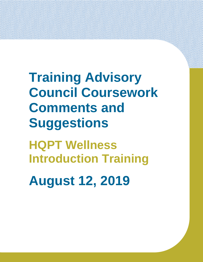**Training Advisory Council Coursework Comments and Suggestions**

**HQPT Wellness Introduction Training**

**August 12, 2019**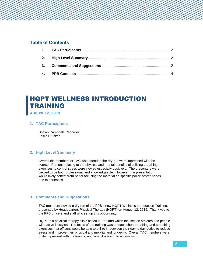# **Table of Contents**

# HQPT WELLNESS INTRODUCTION TRAINING

<span id="page-1-0"></span>**August 12, 2019**

## **1. TAC Participants**

Shawn Campbell, Recorder Leslie Brunker

# <span id="page-1-1"></span>**2. High Level Summary**

Overall the members of TAC who attended the dry-run were impressed with the course. Portions relating to the physical and mental benefits of utilizing breathing exercises to control stress were viewed especially positively. The presenters were viewed to be both professional and knowledgeable. However, the presentation would likely benefit from better focusing the material on specific police officer needs and experiences.

## <span id="page-1-2"></span>**3. Comments and Suggestions**

TAC members viewed a dry run of the PPB's new HQPT Wellness Introduction Training, presented by Headquarters Physical Therapy (HQPT) on August 12, 2019. Thank you to the PPB officers and staff who set up this opportunity.

HQPT is a physical therapy clinic based in Portland which focuses on athletes and people with active lifestyles. The focus of the training was to teach short breathing and stretching exercises that officers would be able to utilize in between their day to day duties to reduce stress and improve their physical and mobility and longevity. Overall TAC members were quite impressed with the training and what it is trying to accomplish.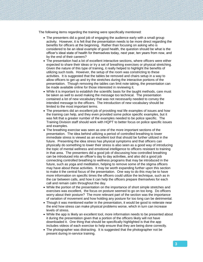The following items regarding the training were specifically mentioned:

- The presenters did a good job of engaging the audience early with a small group activity. However, it is felt that the presentation needs to be more direct regarding the benefits for officers at the beginning. Rather than focusing on asking who is considered to be an ideal example of good health, the question should be what is the officer's ideal state of health for themselves today, next year, ten years from now, and by the end of their careers?
- The presentation had a lot of excellent interactive sections, where officers were either expected to share their ideas or try a set of breathing exercises or physical stretching. Given the nature of this type of training, it really helped to highlight the benefits of utilizing such tools. However, the setup of the room was constricting to these activities. It is suggested that the tables be removed and chairs setup in a way to allow officers to get up and try the stretches during the interactive portions of the presentation. Though removing the tables can limit note taking, the presentation can be made available online for those interested in reviewing it.
- While it is important to establish the scientific basis for the taught methods, care must be taken as well to avoid making the message too technical. The presentation contained a lot of new vocabulary that was not necessarily needed to convey the intended message to the officers. The introduction of new vocabulary should be limited to the most important terms.
- The presenters did an excellent job of providing real life examples of issues and how the training can help, and they even provided some police specific examples, but it was felt that a greater number of the examples needed to be police specific. The Training Division staff should work with HQPT to better focus on police specific issues and examples.
- The breathing exercise was seen as one of the more important sections of the presentation. The idea behind utilizing a period of controlled breathing to lower immediate stress is viewed as an excellent tool that should be further utilized in the future. Presenting the idea stress has physical symptoms and that officers can physically do something to lower their stress is also seen as a good way of introducing the topic of mental wellness and emotional intelligence to officers resistant to training in that area. The presenters did a good job of discussing how controlled breathing can be introduced into an officer's day to day activities, and also did a good job connecting controlled breathing to wellness programs that may be introduced in the future, such as yoga and meditation, helping to remove some of the stigma officers may have about these activities. It may be worth expanding further upon this section to make it the central focus of the presentation. One way to do this may be to have more information on specific times the officers could utilize the technique, such as in the car between calls, and how it can help the officers prepare themselves for each call and remain calm throughout the day.
- While the portion of the presentation on the importance of short simple stretches and exercises was excellent, the focus on posture seemed to go on too long. Do officers worry about their posture? The more relevant part of the section was the importance of variation of movement and how holding any posture for too long can be detrimental.
- Though it was mentioned earlier in the presentation, it would be good to reiterate near the end how stress can make physical problems worse, which in turn can increase levels of stress.
- While the app is likely an excellent tool, more information needs to be presented about it during the presentation given that a portion of the officers likely will not have downloaded it. One thing that should be specifically highlighted is that the app includes videos of each exercise to help ensure that they are being done correctly.
- The photographer was distracting. It is suggested that the photographer not be present during in-service training.